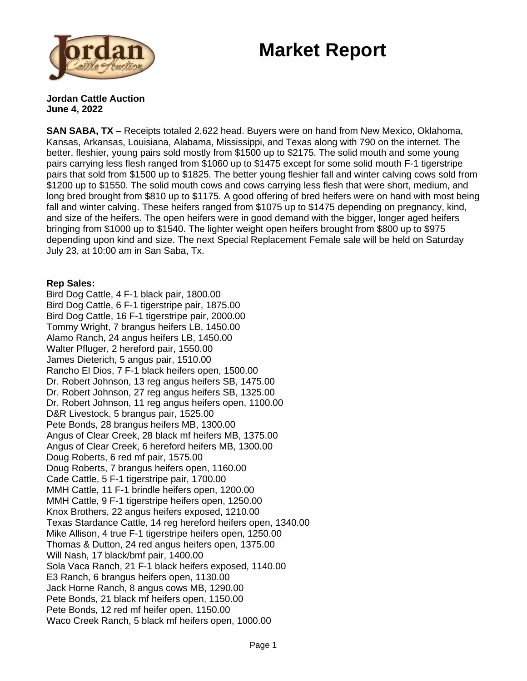## **Market Report**



## **Jordan Cattle Auction June 4, 2022**

**SAN SABA, TX** – Receipts totaled 2,622 head. Buyers were on hand from New Mexico, Oklahoma, Kansas, Arkansas, Louisiana, Alabama, Mississippi, and Texas along with 790 on the internet. The better, fleshier, young pairs sold mostly from \$1500 up to \$2175. The solid mouth and some young pairs carrying less flesh ranged from \$1060 up to \$1475 except for some solid mouth F-1 tigerstripe pairs that sold from \$1500 up to \$1825. The better young fleshier fall and winter calving cows sold from \$1200 up to \$1550. The solid mouth cows and cows carrying less flesh that were short, medium, and long bred brought from \$810 up to \$1175. A good offering of bred heifers were on hand with most being fall and winter calving. These heifers ranged from \$1075 up to \$1475 depending on pregnancy, kind, and size of the heifers. The open heifers were in good demand with the bigger, longer aged heifers bringing from \$1000 up to \$1540. The lighter weight open heifers brought from \$800 up to \$975 depending upon kind and size. The next Special Replacement Female sale will be held on Saturday July 23, at 10:00 am in San Saba, Tx.

## **Rep Sales:**

Bird Dog Cattle, 4 F-1 black pair, 1800.00 Bird Dog Cattle, 6 F-1 tigerstripe pair, 1875.00 Bird Dog Cattle, 16 F-1 tigerstripe pair, 2000.00 Tommy Wright, 7 brangus heifers LB, 1450.00 Alamo Ranch, 24 angus heifers LB, 1450.00 Walter Pfluger, 2 hereford pair, 1550.00 James Dieterich, 5 angus pair, 1510.00 Rancho El Dios, 7 F-1 black heifers open, 1500.00 Dr. Robert Johnson, 13 reg angus heifers SB, 1475.00 Dr. Robert Johnson, 27 reg angus heifers SB, 1325.00 Dr. Robert Johnson, 11 reg angus heifers open, 1100.00 D&R Livestock, 5 brangus pair, 1525.00 Pete Bonds, 28 brangus heifers MB, 1300.00 Angus of Clear Creek, 28 black mf heifers MB, 1375.00 Angus of Clear Creek, 6 hereford heifers MB, 1300.00 Doug Roberts, 6 red mf pair, 1575.00 Doug Roberts, 7 brangus heifers open, 1160.00 Cade Cattle, 5 F-1 tigerstripe pair, 1700.00 MMH Cattle, 11 F-1 brindle heifers open, 1200.00 MMH Cattle, 9 F-1 tigerstripe heifers open, 1250.00 Knox Brothers, 22 angus heifers exposed, 1210.00 Texas Stardance Cattle, 14 reg hereford heifers open, 1340.00 Mike Allison, 4 true F-1 tigerstripe heifers open, 1250.00 Thomas & Dutton, 24 red angus heifers open, 1375.00 Will Nash, 17 black/bmf pair, 1400.00 Sola Vaca Ranch, 21 F-1 black heifers exposed, 1140.00 E3 Ranch, 6 brangus heifers open, 1130.00 Jack Horne Ranch, 8 angus cows MB, 1290.00 Pete Bonds, 21 black mf heifers open, 1150.00 Pete Bonds, 12 red mf heifer open, 1150.00 Waco Creek Ranch, 5 black mf heifers open, 1000.00